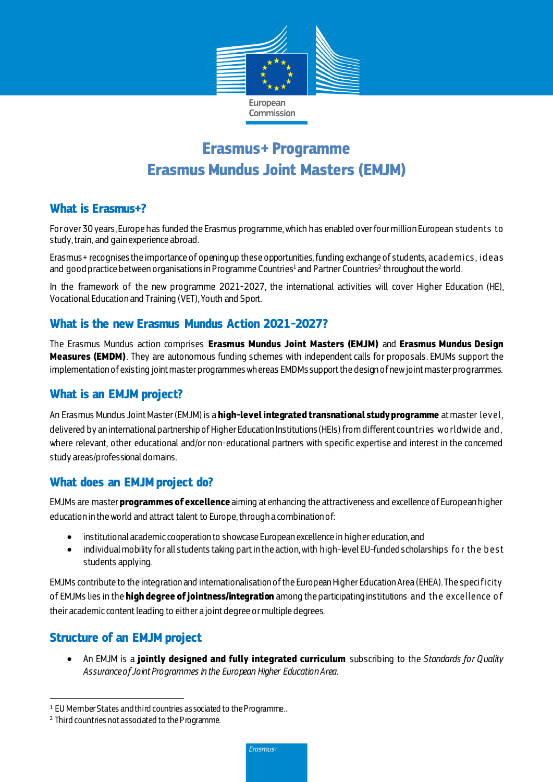

# **Erasmus+ Programme Erasmus Mundus Joint Masters (EMJM)**

#### **What is Erasmus+?**

For over 30 years, Europe has funded the Erasmus programme, which has enabled over four million European students to study, train, and gain experience abroad.

Erasmus+ recognises the importance of opening up these opportunities,funding exchange of students, acad emics , id eas and <code>goodpractice</code> between organisations in Programme Countries<sup>1</sup> and Partner Countries<sup>2</sup> throughout the world.

In the framework of the new programme 2021-2027, the international activities will cover Higher Education (HE), Vocational Education and Training (VET), Youth and Sport.

## **What is the new Erasmus Mundus Action 2021-2027?**

The Erasmus Mundus action comprises **Erasmus Mundus Joint Masters (EMJM)** and **Erasmus Mundus Design Measures (EMDM)**. They are autonomous funding schemes with independent calls for proposals. EMJMs support the implementation of existing joint master programmes whereas EMDMs support the design of new joint master programmes.

# **What is an EMJM project?**

An Erasmus Mundus Joint Master (EMJM) is a **high-level integrated transnational study programme** at master level, delivered by an international partnership of Higher Education Institutions (HEIs) from different countries wo rldwide and , where relevant, other educational and/or non-educational partners with specific expertise and interest in the concerned study areas/professional domains.

## **What does an EMJMproject do?**

EMJMs are master **programmes of excellence** aiming at enhancing the attractiveness and excellence of European higher education in the world and attract talent to Europe, through a combination of:

- institutional academic cooperation to showcase European excellence in higher education, and
- individual mobility for all students taking part in the action, with high-level EU-funded scholarships for the best students applying.

EMJMs contribute to the integration and internationalisation of the European Higher Education Area (EHEA). The specificity of EMJMs lies in the **high degree of jointness/integration** among the participating institutions and th e excellence o f their academic content leading to either a joint degree or multiple degrees.

# **Structure of an EMJM project**

 $\overline{a}$ 

 An EMJM is a **jointly designed and fully integrated curriculum** subscribing to the *Standards for Quality Assurance of Joint Programmes in the European Higher Education Area.*

<sup>&</sup>lt;sup>1</sup> EU Member States and third countries as sociated to the Programme..

<sup>2</sup> Third countries not associated to the Programme.